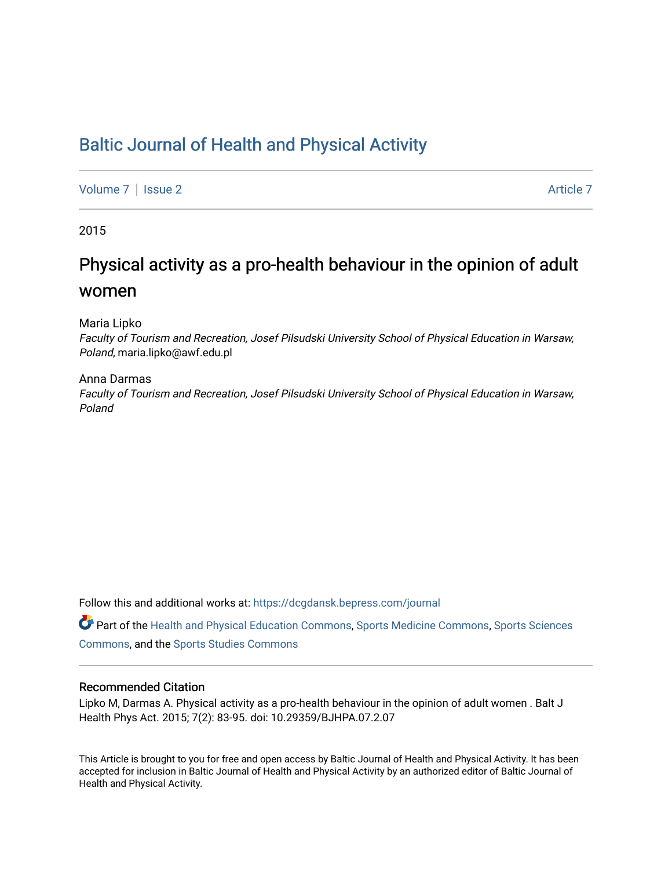## [Baltic Journal of Health and Physical Activity](https://dcgdansk.bepress.com/journal)

[Volume 7](https://dcgdansk.bepress.com/journal/vol7) | [Issue 2](https://dcgdansk.bepress.com/journal/vol7/iss2) Article 7

2015

## Physical activity as a pro-health behaviour in the opinion of adult women

Maria Lipko

Faculty of Tourism and Recreation, Josef Pilsudski University School of Physical Education in Warsaw, Poland, maria.lipko@awf.edu.pl

#### Anna Darmas

Faculty of Tourism and Recreation, Josef Pilsudski University School of Physical Education in Warsaw, Poland

Follow this and additional works at: [https://dcgdansk.bepress.com/journal](https://dcgdansk.bepress.com/journal?utm_source=dcgdansk.bepress.com%2Fjournal%2Fvol7%2Fiss2%2F7&utm_medium=PDF&utm_campaign=PDFCoverPages)

Part of the [Health and Physical Education Commons](http://network.bepress.com/hgg/discipline/1327?utm_source=dcgdansk.bepress.com%2Fjournal%2Fvol7%2Fiss2%2F7&utm_medium=PDF&utm_campaign=PDFCoverPages), [Sports Medicine Commons,](http://network.bepress.com/hgg/discipline/1331?utm_source=dcgdansk.bepress.com%2Fjournal%2Fvol7%2Fiss2%2F7&utm_medium=PDF&utm_campaign=PDFCoverPages) [Sports Sciences](http://network.bepress.com/hgg/discipline/759?utm_source=dcgdansk.bepress.com%2Fjournal%2Fvol7%2Fiss2%2F7&utm_medium=PDF&utm_campaign=PDFCoverPages) [Commons](http://network.bepress.com/hgg/discipline/759?utm_source=dcgdansk.bepress.com%2Fjournal%2Fvol7%2Fiss2%2F7&utm_medium=PDF&utm_campaign=PDFCoverPages), and the [Sports Studies Commons](http://network.bepress.com/hgg/discipline/1198?utm_source=dcgdansk.bepress.com%2Fjournal%2Fvol7%2Fiss2%2F7&utm_medium=PDF&utm_campaign=PDFCoverPages) 

### Recommended Citation

Lipko M, Darmas A. Physical activity as a pro-health behaviour in the opinion of adult women . Balt J Health Phys Act. 2015; 7(2): 83-95. doi: 10.29359/BJHPA.07.2.07

This Article is brought to you for free and open access by Baltic Journal of Health and Physical Activity. It has been accepted for inclusion in Baltic Journal of Health and Physical Activity by an authorized editor of Baltic Journal of Health and Physical Activity.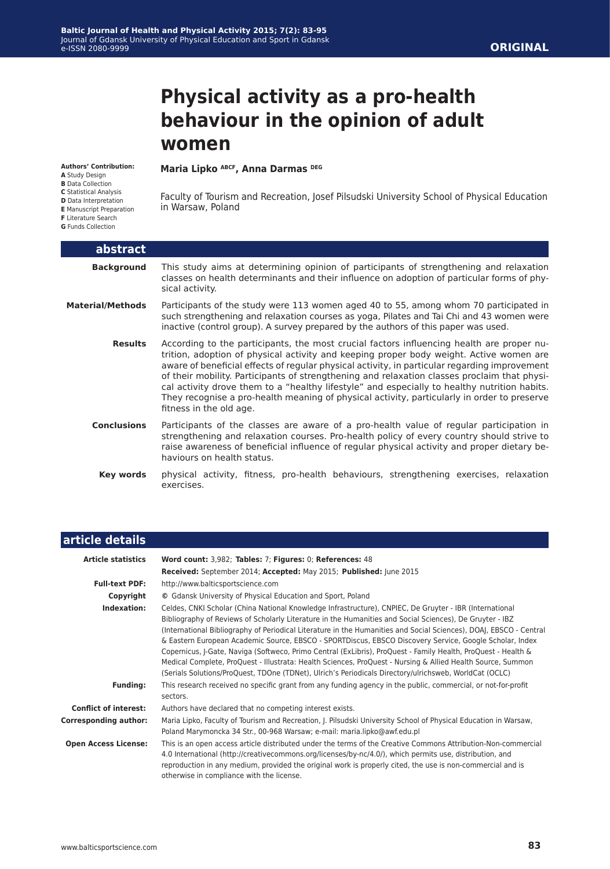# **Physical activity as a pro-health behaviour in the opinion of adult women**

#### **Authors' Contribution:**

**A** Study Design

- **B** Data Collection
- **C** Statistical Analysis
- **D** Data Interpretation
- **E** Manuscript Preparation

**F** Literature Search

**G** Funds Collection

I

#### **Maria Lipko ABCF, Anna Darmas DEG**

Faculty of Tourism and Recreation, Josef Pilsudski University School of Physical Education in Warsaw, Poland

| abstract                |                                                                                                                                                                                                                                                                                                                                                                                                                                                                                                                                                                                                                 |
|-------------------------|-----------------------------------------------------------------------------------------------------------------------------------------------------------------------------------------------------------------------------------------------------------------------------------------------------------------------------------------------------------------------------------------------------------------------------------------------------------------------------------------------------------------------------------------------------------------------------------------------------------------|
| <b>Background</b>       | This study aims at determining opinion of participants of strengthening and relaxation<br>classes on health determinants and their influence on adoption of particular forms of phy-<br>sical activity.                                                                                                                                                                                                                                                                                                                                                                                                         |
| <b>Material/Methods</b> | Participants of the study were 113 women aged 40 to 55, among whom 70 participated in<br>such strengthening and relaxation courses as yoga, Pilates and Tai Chi and 43 women were<br>inactive (control group). A survey prepared by the authors of this paper was used.                                                                                                                                                                                                                                                                                                                                         |
| <b>Results</b>          | According to the participants, the most crucial factors influencing health are proper nu-<br>trition, adoption of physical activity and keeping proper body weight. Active women are<br>aware of beneficial effects of regular physical activity, in particular regarding improvement<br>of their mobility. Participants of strengthening and relaxation classes proclaim that physi-<br>cal activity drove them to a "healthy lifestyle" and especially to healthy nutrition habits.<br>They recognise a pro-health meaning of physical activity, particularly in order to preserve<br>fitness in the old age. |
| <b>Conclusions</b>      | Participants of the classes are aware of a pro-health value of regular participation in<br>strengthening and relaxation courses. Pro-health policy of every country should strive to<br>raise awareness of beneficial influence of regular physical activity and proper dietary be-<br>haviours on health status.                                                                                                                                                                                                                                                                                               |
| Key words               | physical activity, fitness, pro-health behaviours, strengthening exercises, relaxation<br>exercises.                                                                                                                                                                                                                                                                                                                                                                                                                                                                                                            |

| article details              |                                                                                                                                                                                                                                                                                                                                                                                                                                                                                                                                                                                                                                                                                                                                                                                                |
|------------------------------|------------------------------------------------------------------------------------------------------------------------------------------------------------------------------------------------------------------------------------------------------------------------------------------------------------------------------------------------------------------------------------------------------------------------------------------------------------------------------------------------------------------------------------------------------------------------------------------------------------------------------------------------------------------------------------------------------------------------------------------------------------------------------------------------|
| <b>Article statistics</b>    | Word count: 3,982; Tables: 7; Figures: 0; References: 48<br>Received: September 2014; Accepted: May 2015; Published: June 2015                                                                                                                                                                                                                                                                                                                                                                                                                                                                                                                                                                                                                                                                 |
| <b>Full-text PDF:</b>        | http://www.balticsportscience.com                                                                                                                                                                                                                                                                                                                                                                                                                                                                                                                                                                                                                                                                                                                                                              |
| Copyright                    | © Gdansk University of Physical Education and Sport, Poland                                                                                                                                                                                                                                                                                                                                                                                                                                                                                                                                                                                                                                                                                                                                    |
| Indexation:                  | Celdes, CNKI Scholar (China National Knowledge Infrastructure), CNPIEC, De Gruyter - IBR (International<br>Bibliography of Reviews of Scholarly Literature in the Humanities and Social Sciences), De Gruyter - IBZ<br>(International Bibliography of Periodical Literature in the Humanities and Social Sciences), DOAJ, EBSCO - Central<br>& Eastern European Academic Source, EBSCO - SPORTDiscus, EBSCO Discovery Service, Google Scholar, Index<br>Copernicus, J-Gate, Naviga (Softweco, Primo Central (ExLibris), ProQuest - Family Health, ProQuest - Health &<br>Medical Complete, ProQuest - Illustrata: Health Sciences, ProQuest - Nursing & Allied Health Source, Summon<br>(Serials Solutions/ProQuest, TDOne (TDNet), Ulrich's Periodicals Directory/ulrichsweb, WorldCat (OCLC) |
| <b>Funding:</b>              | This research received no specific grant from any funding agency in the public, commercial, or not-for-profit<br>sectors.                                                                                                                                                                                                                                                                                                                                                                                                                                                                                                                                                                                                                                                                      |
| <b>Conflict of interest:</b> | Authors have declared that no competing interest exists.                                                                                                                                                                                                                                                                                                                                                                                                                                                                                                                                                                                                                                                                                                                                       |
| <b>Corresponding author:</b> | Maria Lipko, Faculty of Tourism and Recreation, J. Pilsudski University School of Physical Education in Warsaw,<br>Poland Marymoncka 34 Str., 00-968 Warsaw; e-mail: maria.lipko@awf.edu.pl                                                                                                                                                                                                                                                                                                                                                                                                                                                                                                                                                                                                    |
| <b>Open Access License:</b>  | This is an open access article distributed under the terms of the Creative Commons Attribution-Non-commercial<br>4.0 International (http://creativecommons.org/licenses/by-nc/4.0/), which permits use, distribution, and<br>reproduction in any medium, provided the original work is properly cited, the use is non-commercial and is<br>otherwise in compliance with the license.                                                                                                                                                                                                                                                                                                                                                                                                           |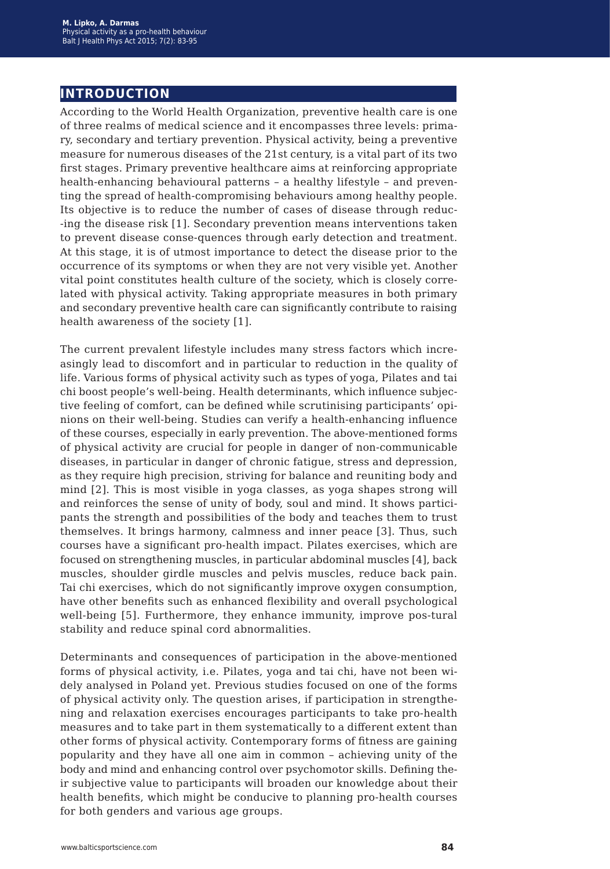## **introduction**

According to the World Health Organization, preventive health care is one of three realms of medical science and it encompasses three levels: primary, secondary and tertiary prevention. Physical activity, being a preventive measure for numerous diseases of the 21st century, is a vital part of its two first stages. Primary preventive healthcare aims at reinforcing appropriate health-enhancing behavioural patterns – a healthy lifestyle – and preventing the spread of health-compromising behaviours among healthy people. Its objective is to reduce the number of cases of disease through reduc- -ing the disease risk [1]. Secondary prevention means interventions taken to prevent disease conse-quences through early detection and treatment. At this stage, it is of utmost importance to detect the disease prior to the occurrence of its symptoms or when they are not very visible yet. Another vital point constitutes health culture of the society, which is closely correlated with physical activity. Taking appropriate measures in both primary and secondary preventive health care can significantly contribute to raising health awareness of the society [1].

The current prevalent lifestyle includes many stress factors which increasingly lead to discomfort and in particular to reduction in the quality of life. Various forms of physical activity such as types of yoga, Pilates and tai chi boost people's well-being. Health determinants, which influence subjective feeling of comfort, can be defined while scrutinising participants' opinions on their well-being. Studies can verify a health-enhancing influence of these courses, especially in early prevention. The above-mentioned forms of physical activity are crucial for people in danger of non-communicable diseases, in particular in danger of chronic fatigue, stress and depression, as they require high precision, striving for balance and reuniting body and mind [2]. This is most visible in yoga classes, as yoga shapes strong will and reinforces the sense of unity of body, soul and mind. It shows participants the strength and possibilities of the body and teaches them to trust themselves. It brings harmony, calmness and inner peace [3]. Thus, such courses have a significant pro-health impact. Pilates exercises, which are focused on strengthening muscles, in particular abdominal muscles [4], back muscles, shoulder girdle muscles and pelvis muscles, reduce back pain. Tai chi exercises, which do not significantly improve oxygen consumption, have other benefits such as enhanced flexibility and overall psychological well-being [5]. Furthermore, they enhance immunity, improve pos-tural stability and reduce spinal cord abnormalities.

Determinants and consequences of participation in the above-mentioned forms of physical activity, i.e. Pilates, yoga and tai chi, have not been widely analysed in Poland yet. Previous studies focused on one of the forms of physical activity only. The question arises, if participation in strengthening and relaxation exercises encourages participants to take pro-health measures and to take part in them systematically to a different extent than other forms of physical activity. Contemporary forms of fitness are gaining popularity and they have all one aim in common – achieving unity of the body and mind and enhancing control over psychomotor skills. Defining their subjective value to participants will broaden our knowledge about their health benefits, which might be conducive to planning pro-health courses for both genders and various age groups.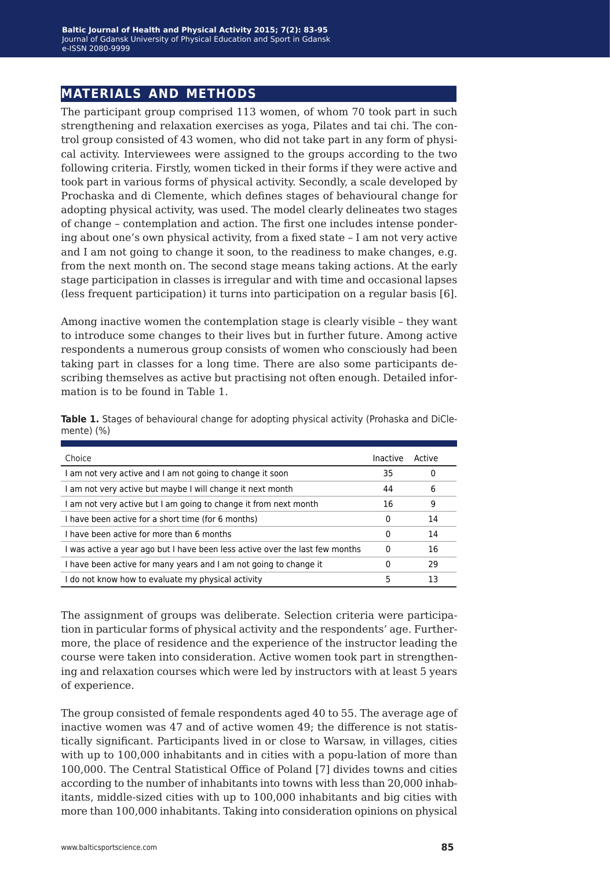## **materials and methods**

The participant group comprised 113 women, of whom 70 took part in such strengthening and relaxation exercises as yoga, Pilates and tai chi. The control group consisted of 43 women, who did not take part in any form of physical activity. Interviewees were assigned to the groups according to the two following criteria. Firstly, women ticked in their forms if they were active and took part in various forms of physical activity. Secondly, a scale developed by Prochaska and di Clemente, which defines stages of behavioural change for adopting physical activity, was used. The model clearly delineates two stages of change – contemplation and action. The first one includes intense pondering about one's own physical activity, from a fixed state – I am not very active and I am not going to change it soon, to the readiness to make changes, e.g. from the next month on. The second stage means taking actions. At the early stage participation in classes is irregular and with time and occasional lapses (less frequent participation) it turns into participation on a regular basis [6].

Among inactive women the contemplation stage is clearly visible – they want to introduce some changes to their lives but in further future. Among active respondents a numerous group consists of women who consciously had been taking part in classes for a long time. There are also some participants describing themselves as active but practising not often enough. Detailed information is to be found in Table 1.

| Choice                                                                       | Inactive | Active |
|------------------------------------------------------------------------------|----------|--------|
| I am not very active and I am not going to change it soon                    | 35       | 0      |
| I am not very active but maybe I will change it next month                   | 44       | 6      |
| I am not very active but I am going to change it from next month             | 16       | 9      |
| I have been active for a short time (for 6 months)                           | 0        | 14     |
| I have been active for more than 6 months                                    |          | 14     |
| I was active a year ago but I have been less active over the last few months | 0        | 16     |
| I have been active for many years and I am not going to change it            | 0        | 29     |
| I do not know how to evaluate my physical activity                           | 5        | 13     |

**Table 1.** Stages of behavioural change for adopting physical activity (Prohaska and DiClemente) (%)

The assignment of groups was deliberate. Selection criteria were participation in particular forms of physical activity and the respondents' age. Furthermore, the place of residence and the experience of the instructor leading the course were taken into consideration. Active women took part in strengthening and relaxation courses which were led by instructors with at least 5 years of experience.

The group consisted of female respondents aged 40 to 55. The average age of inactive women was 47 and of active women 49; the difference is not statistically significant. Participants lived in or close to Warsaw, in villages, cities with up to 100,000 inhabitants and in cities with a popu-lation of more than 100,000. The Central Statistical Office of Poland [7] divides towns and cities according to the number of inhabitants into towns with less than 20,000 inhabitants, middle-sized cities with up to 100,000 inhabitants and big cities with more than 100,000 inhabitants. Taking into consideration opinions on physical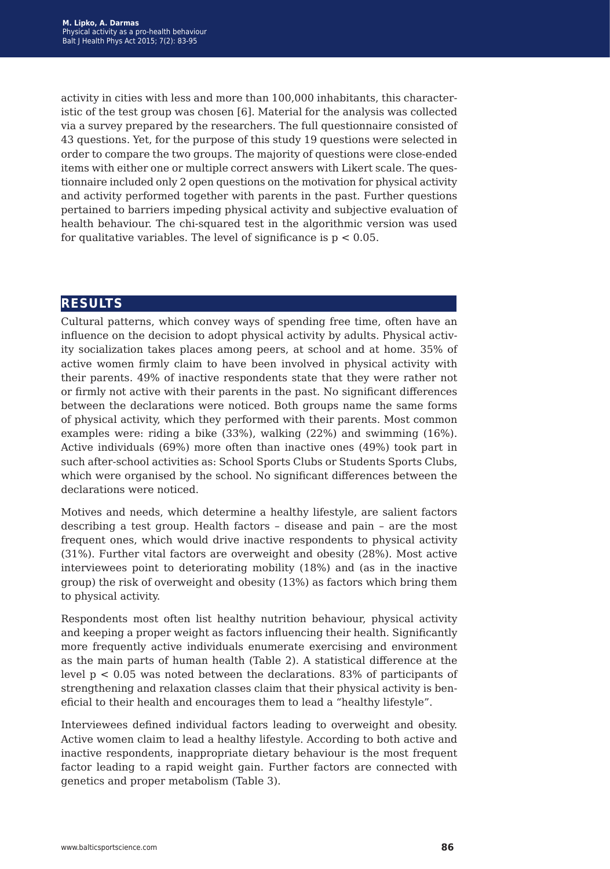activity in cities with less and more than 100,000 inhabitants, this characteristic of the test group was chosen [6]. Material for the analysis was collected via a survey prepared by the researchers. The full questionnaire consisted of 43 questions. Yet, for the purpose of this study 19 questions were selected in order to compare the two groups. The majority of questions were close-ended items with either one or multiple correct answers with Likert scale. The questionnaire included only 2 open questions on the motivation for physical activity and activity performed together with parents in the past. Further questions pertained to barriers impeding physical activity and subjective evaluation of health behaviour. The chi-squared test in the algorithmic version was used for qualitative variables. The level of significance is  $p < 0.05$ .

## **results**

Cultural patterns, which convey ways of spending free time, often have an influence on the decision to adopt physical activity by adults. Physical activity socialization takes places among peers, at school and at home. 35% of active women firmly claim to have been involved in physical activity with their parents. 49% of inactive respondents state that they were rather not or firmly not active with their parents in the past. No significant differences between the declarations were noticed. Both groups name the same forms of physical activity, which they performed with their parents. Most common examples were: riding a bike (33%), walking (22%) and swimming (16%). Active individuals (69%) more often than inactive ones (49%) took part in such after-school activities as: School Sports Clubs or Students Sports Clubs, which were organised by the school. No significant differences between the declarations were noticed.

Motives and needs, which determine a healthy lifestyle, are salient factors describing a test group. Health factors – disease and pain – are the most frequent ones, which would drive inactive respondents to physical activity (31%). Further vital factors are overweight and obesity (28%). Most active interviewees point to deteriorating mobility (18%) and (as in the inactive group) the risk of overweight and obesity (13%) as factors which bring them to physical activity.

Respondents most often list healthy nutrition behaviour, physical activity and keeping a proper weight as factors influencing their health. Significantly more frequently active individuals enumerate exercising and environment as the main parts of human health (Table 2). A statistical difference at the level  $p < 0.05$  was noted between the declarations. 83% of participants of strengthening and relaxation classes claim that their physical activity is beneficial to their health and encourages them to lead a "healthy lifestyle".

Interviewees defined individual factors leading to overweight and obesity. Active women claim to lead a healthy lifestyle. According to both active and inactive respondents, inappropriate dietary behaviour is the most frequent factor leading to a rapid weight gain. Further factors are connected with genetics and proper metabolism (Table 3).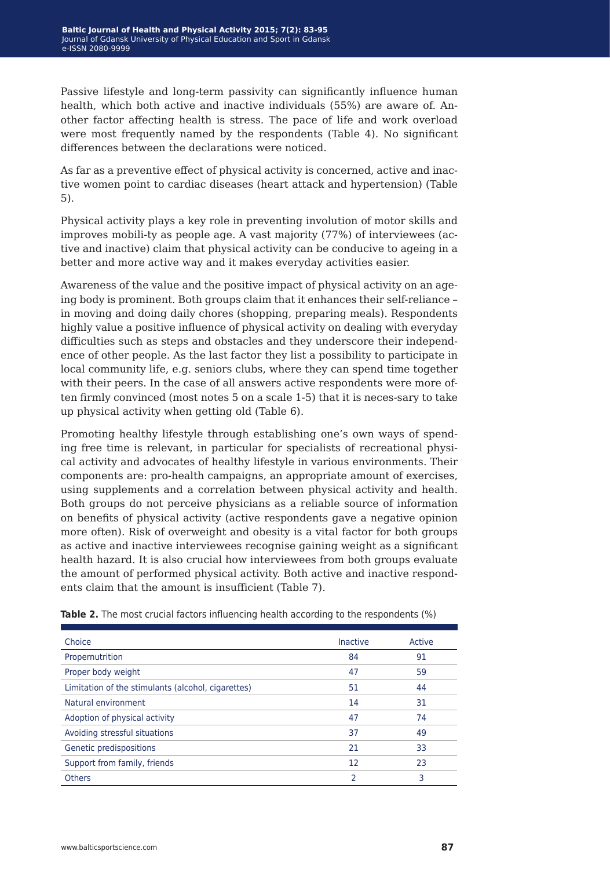Passive lifestyle and long-term passivity can significantly influence human health, which both active and inactive individuals (55%) are aware of. Another factor affecting health is stress. The pace of life and work overload were most frequently named by the respondents (Table 4). No significant differences between the declarations were noticed.

As far as a preventive effect of physical activity is concerned, active and inactive women point to cardiac diseases (heart attack and hypertension) (Table 5).

Physical activity plays a key role in preventing involution of motor skills and improves mobili-ty as people age. A vast majority (77%) of interviewees (active and inactive) claim that physical activity can be conducive to ageing in a better and more active way and it makes everyday activities easier.

Awareness of the value and the positive impact of physical activity on an ageing body is prominent. Both groups claim that it enhances their self-reliance – in moving and doing daily chores (shopping, preparing meals). Respondents highly value a positive influence of physical activity on dealing with everyday difficulties such as steps and obstacles and they underscore their independence of other people. As the last factor they list a possibility to participate in local community life, e.g. seniors clubs, where they can spend time together with their peers. In the case of all answers active respondents were more often firmly convinced (most notes 5 on a scale 1-5) that it is neces-sary to take up physical activity when getting old (Table 6).

Promoting healthy lifestyle through establishing one's own ways of spending free time is relevant, in particular for specialists of recreational physical activity and advocates of healthy lifestyle in various environments. Their components are: pro-health campaigns, an appropriate amount of exercises, using supplements and a correlation between physical activity and health. Both groups do not perceive physicians as a reliable source of information on benefits of physical activity (active respondents gave a negative opinion more often). Risk of overweight and obesity is a vital factor for both groups as active and inactive interviewees recognise gaining weight as a significant health hazard. It is also crucial how interviewees from both groups evaluate the amount of performed physical activity. Both active and inactive respondents claim that the amount is insufficient (Table 7).

| Choice                                             | <b>Inactive</b> | Active |
|----------------------------------------------------|-----------------|--------|
| Propernutrition                                    | 84              | 91     |
| Proper body weight                                 | 47              | 59     |
| Limitation of the stimulants (alcohol, cigarettes) | 51              | 44     |
| Natural environment                                | 14              | 31     |
| Adoption of physical activity                      | 47              | 74     |
| Avoiding stressful situations                      | 37              | 49     |
| Genetic predispositions                            | 21              | 33     |
| Support from family, friends                       | 12              | 23     |
| <b>Others</b>                                      | 2               | 3      |

**Table 2.** The most crucial factors influencing health according to the respondents (%)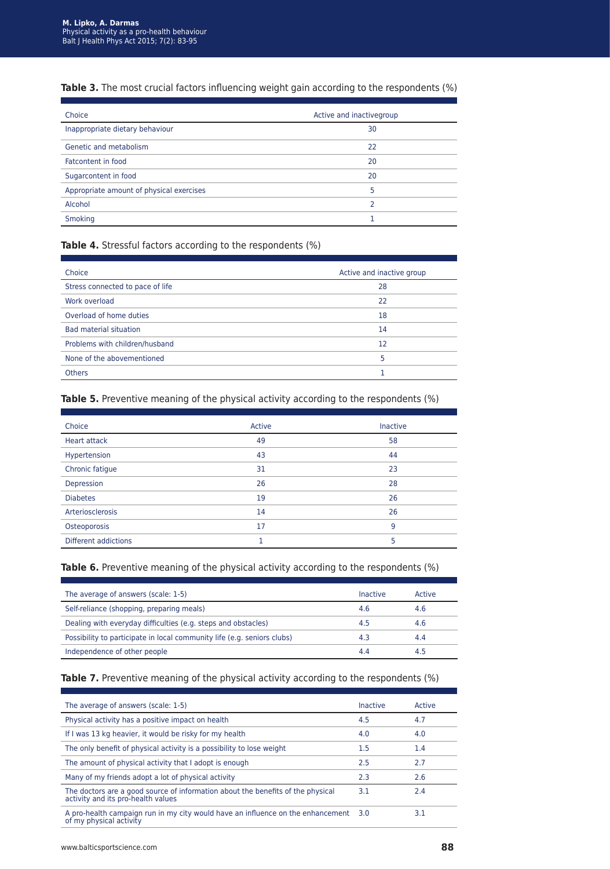### **Table 3.** The most crucial factors influencing weight gain according to the respondents (%)

| Choice                                   | Active and inactivegroup |  |
|------------------------------------------|--------------------------|--|
| Inappropriate dietary behaviour          | 30                       |  |
| Genetic and metabolism                   | 22                       |  |
| Fatcontent in food                       | 20                       |  |
| Sugarcontent in food                     | 20                       |  |
| Appropriate amount of physical exercises | 5                        |  |
| Alcohol                                  | っ                        |  |
| <b>Smoking</b>                           |                          |  |

#### **Table 4.** Stressful factors according to the respondents (%)

| Choice                           | Active and inactive group |
|----------------------------------|---------------------------|
| Stress connected to pace of life | 28                        |
| Work overload                    | 22                        |
| Overload of home duties          | 18                        |
| <b>Bad material situation</b>    | 14                        |
| Problems with children/husband   | 12                        |
| None of the abovementioned       | 5                         |
| <b>Others</b>                    |                           |

### **Table 5.** Preventive meaning of the physical activity according to the respondents (%)

| Choice                      | Active | <b>Inactive</b> |
|-----------------------------|--------|-----------------|
| <b>Heart attack</b>         | 49     | 58              |
| Hypertension                | 43     | 44              |
| Chronic fatigue             | 31     | 23              |
| Depression                  | 26     | 28              |
| <b>Diabetes</b>             | 19     | 26              |
| Arteriosclerosis            | 14     | 26              |
| Osteoporosis                | 17     | 9               |
| <b>Different addictions</b> |        | 5               |

#### **Table 6.** Preventive meaning of the physical activity according to the respondents (%)

| Inactive | Active |
|----------|--------|
| 4.6      | 4.6    |
| 4.5      | 4.6    |
| 4.3      | 4.4    |
| 4.4      | 4.5    |
|          |        |

#### **Table 7.** Preventive meaning of the physical activity according to the respondents (%)

| The average of answers (scale: 1-5)                                                                                   | Inactive | Active |
|-----------------------------------------------------------------------------------------------------------------------|----------|--------|
| Physical activity has a positive impact on health                                                                     | 4.5      | 4.7    |
| If I was 13 kg heavier, it would be risky for my health                                                               | 4.0      | 4.0    |
| The only benefit of physical activity is a possibility to lose weight                                                 | 1.5      | 1.4    |
| The amount of physical activity that I adopt is enough                                                                | 2.5      | 2.7    |
| Many of my friends adopt a lot of physical activity                                                                   | 2.3      | 2.6    |
| The doctors are a good source of information about the benefits of the physical<br>activity and its pro-health values | 3.1      | 2.4    |
| A pro-health campaign run in my city would have an influence on the enhancement 3.0<br>of my physical activity        |          | 3.1    |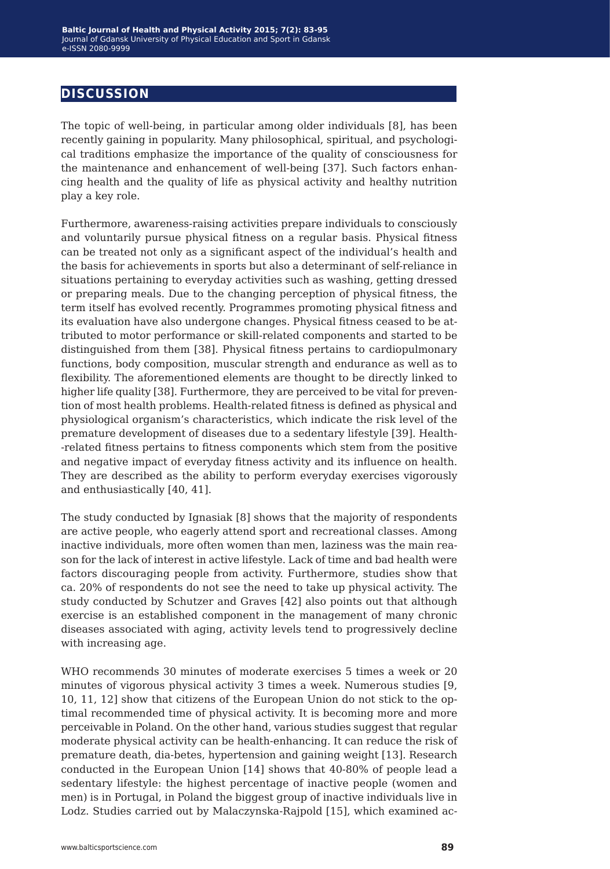## **discussion**

The topic of well-being, in particular among older individuals [8], has been recently gaining in popularity. Many philosophical, spiritual, and psychological traditions emphasize the importance of the quality of consciousness for the maintenance and enhancement of well-being [37]. Such factors enhancing health and the quality of life as physical activity and healthy nutrition play a key role.

Furthermore, awareness-raising activities prepare individuals to consciously and voluntarily pursue physical fitness on a regular basis. Physical fitness can be treated not only as a significant aspect of the individual's health and the basis for achievements in sports but also a determinant of self-reliance in situations pertaining to everyday activities such as washing, getting dressed or preparing meals. Due to the changing perception of physical fitness, the term itself has evolved recently. Programmes promoting physical fitness and its evaluation have also undergone changes. Physical fitness ceased to be attributed to motor performance or skill-related components and started to be distinguished from them [38]. Physical fitness pertains to cardiopulmonary functions, body composition, muscular strength and endurance as well as to flexibility. The aforementioned elements are thought to be directly linked to higher life quality [38]. Furthermore, they are perceived to be vital for prevention of most health problems. Health-related fitness is defined as physical and physiological organism's characteristics, which indicate the risk level of the premature development of diseases due to a sedentary lifestyle [39]. Health- -related fitness pertains to fitness components which stem from the positive and negative impact of everyday fitness activity and its influence on health. They are described as the ability to perform everyday exercises vigorously and enthusiastically [40, 41].

The study conducted by Ignasiak [8] shows that the majority of respondents are active people, who eagerly attend sport and recreational classes. Among inactive individuals, more often women than men, laziness was the main reason for the lack of interest in active lifestyle. Lack of time and bad health were factors discouraging people from activity. Furthermore, studies show that ca. 20% of respondents do not see the need to take up physical activity. The study conducted by Schutzer and Graves [42] also points out that although exercise is an established component in the management of many chronic diseases associated with aging, activity levels tend to progressively decline with increasing age.

WHO recommends 30 minutes of moderate exercises 5 times a week or 20 minutes of vigorous physical activity 3 times a week. Numerous studies [9, 10, 11, 12] show that citizens of the European Union do not stick to the optimal recommended time of physical activity. It is becoming more and more perceivable in Poland. On the other hand, various studies suggest that regular moderate physical activity can be health-enhancing. It can reduce the risk of premature death, dia-betes, hypertension and gaining weight [13]. Research conducted in the European Union [14] shows that 40-80% of people lead a sedentary lifestyle: the highest percentage of inactive people (women and men) is in Portugal, in Poland the biggest group of inactive individuals live in Lodz. Studies carried out by Malaczynska-Rajpold [15], which examined ac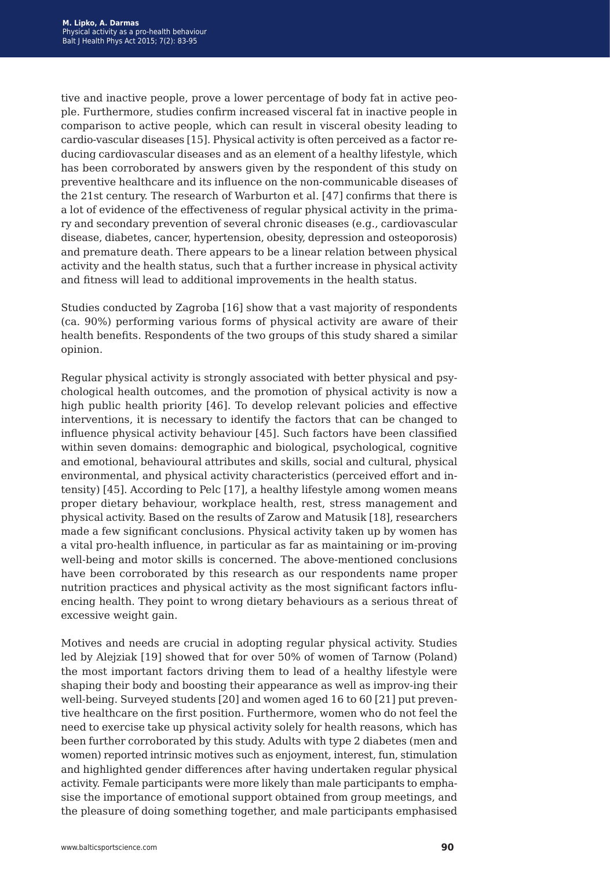tive and inactive people, prove a lower percentage of body fat in active people. Furthermore, studies confirm increased visceral fat in inactive people in comparison to active people, which can result in visceral obesity leading to cardio-vascular diseases [15]. Physical activity is often perceived as a factor reducing cardiovascular diseases and as an element of a healthy lifestyle, which has been corroborated by answers given by the respondent of this study on preventive healthcare and its influence on the non-communicable diseases of the 21st century. The research of Warburton et al. [47] confirms that there is a lot of evidence of the effectiveness of regular physical activity in the primary and secondary prevention of several chronic diseases (e.g., cardiovascular disease, diabetes, cancer, hypertension, obesity, depression and osteoporosis) and premature death. There appears to be a linear relation between physical activity and the health status, such that a further increase in physical activity and fitness will lead to additional improvements in the health status.

Studies conducted by Zagroba [16] show that a vast majority of respondents (ca. 90%) performing various forms of physical activity are aware of their health benefits. Respondents of the two groups of this study shared a similar opinion.

Regular physical activity is strongly associated with better physical and psychological health outcomes, and the promotion of physical activity is now a high public health priority [46]. To develop relevant policies and effective interventions, it is necessary to identify the factors that can be changed to influence physical activity behaviour [45]. Such factors have been classified within seven domains: demographic and biological, psychological, cognitive and emotional, behavioural attributes and skills, social and cultural, physical environmental, and physical activity characteristics (perceived effort and intensity) [45]. According to Pelc [17], a healthy lifestyle among women means proper dietary behaviour, workplace health, rest, stress management and physical activity. Based on the results of Zarow and Matusik [18], researchers made a few significant conclusions. Physical activity taken up by women has a vital pro-health influence, in particular as far as maintaining or im-proving well-being and motor skills is concerned. The above-mentioned conclusions have been corroborated by this research as our respondents name proper nutrition practices and physical activity as the most significant factors influencing health. They point to wrong dietary behaviours as a serious threat of excessive weight gain.

Motives and needs are crucial in adopting regular physical activity. Studies led by Alejziak [19] showed that for over 50% of women of Tarnow (Poland) the most important factors driving them to lead of a healthy lifestyle were shaping their body and boosting their appearance as well as improv-ing their well-being. Surveyed students [20] and women aged 16 to 60 [21] put preventive healthcare on the first position. Furthermore, women who do not feel the need to exercise take up physical activity solely for health reasons, which has been further corroborated by this study. Adults with type 2 diabetes (men and women) reported intrinsic motives such as enjoyment, interest, fun, stimulation and highlighted gender differences after having undertaken regular physical activity. Female participants were more likely than male participants to emphasise the importance of emotional support obtained from group meetings, and the pleasure of doing something together, and male participants emphasised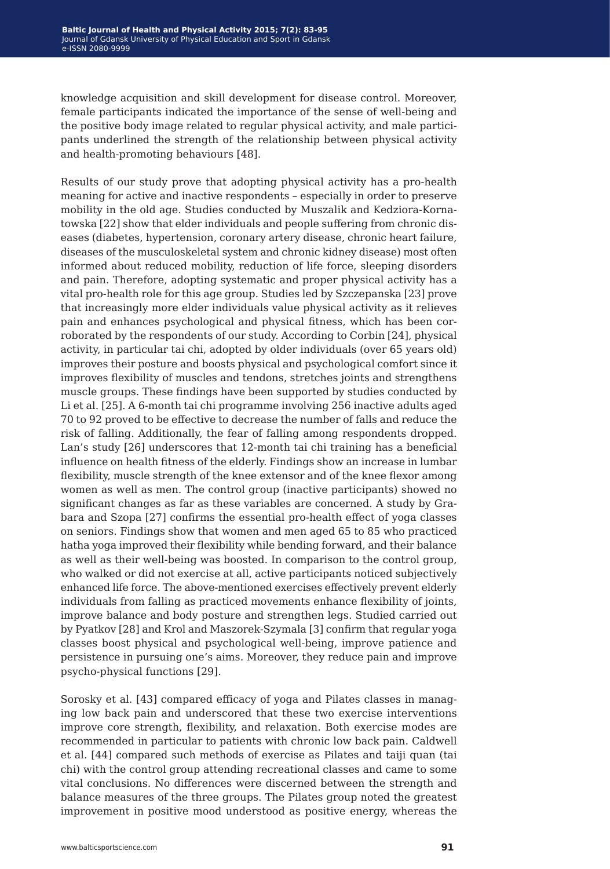knowledge acquisition and skill development for disease control. Moreover, female participants indicated the importance of the sense of well-being and the positive body image related to regular physical activity, and male participants underlined the strength of the relationship between physical activity and health-promoting behaviours [48].

Results of our study prove that adopting physical activity has a pro-health meaning for active and inactive respondents – especially in order to preserve mobility in the old age. Studies conducted by Muszalik and Kedziora-Kornatowska [22] show that elder individuals and people suffering from chronic diseases (diabetes, hypertension, coronary artery disease, chronic heart failure, diseases of the musculoskeletal system and chronic kidney disease) most often informed about reduced mobility, reduction of life force, sleeping disorders and pain. Therefore, adopting systematic and proper physical activity has a vital pro-health role for this age group. Studies led by Szczepanska [23] prove that increasingly more elder individuals value physical activity as it relieves pain and enhances psychological and physical fitness, which has been corroborated by the respondents of our study. According to Corbin [24], physical activity, in particular tai chi, adopted by older individuals (over 65 years old) improves their posture and boosts physical and psychological comfort since it improves flexibility of muscles and tendons, stretches joints and strengthens muscle groups. These findings have been supported by studies conducted by Li et al. [25]. A 6-month tai chi programme involving 256 inactive adults aged 70 to 92 proved to be effective to decrease the number of falls and reduce the risk of falling. Additionally, the fear of falling among respondents dropped. Lan's study [26] underscores that 12-month tai chi training has a beneficial influence on health fitness of the elderly. Findings show an increase in lumbar flexibility, muscle strength of the knee extensor and of the knee flexor among women as well as men. The control group (inactive participants) showed no significant changes as far as these variables are concerned. A study by Grabara and Szopa [27] confirms the essential pro-health effect of yoga classes on seniors. Findings show that women and men aged 65 to 85 who practiced hatha yoga improved their flexibility while bending forward, and their balance as well as their well-being was boosted. In comparison to the control group, who walked or did not exercise at all, active participants noticed subjectively enhanced life force. The above-mentioned exercises effectively prevent elderly individuals from falling as practiced movements enhance flexibility of joints, improve balance and body posture and strengthen legs. Studied carried out by Pyatkov [28] and Krol and Maszorek-Szymala [3] confirm that regular yoga classes boost physical and psychological well-being, improve patience and persistence in pursuing one's aims. Moreover, they reduce pain and improve psycho-physical functions [29].

Sorosky et al. [43] compared efficacy of yoga and Pilates classes in managing low back pain and underscored that these two exercise interventions improve core strength, flexibility, and relaxation. Both exercise modes are recommended in particular to patients with chronic low back pain. Caldwell et al. [44] compared such methods of exercise as Pilates and taiji quan (tai chi) with the control group attending recreational classes and came to some vital conclusions. No differences were discerned between the strength and balance measures of the three groups. The Pilates group noted the greatest improvement in positive mood understood as positive energy, whereas the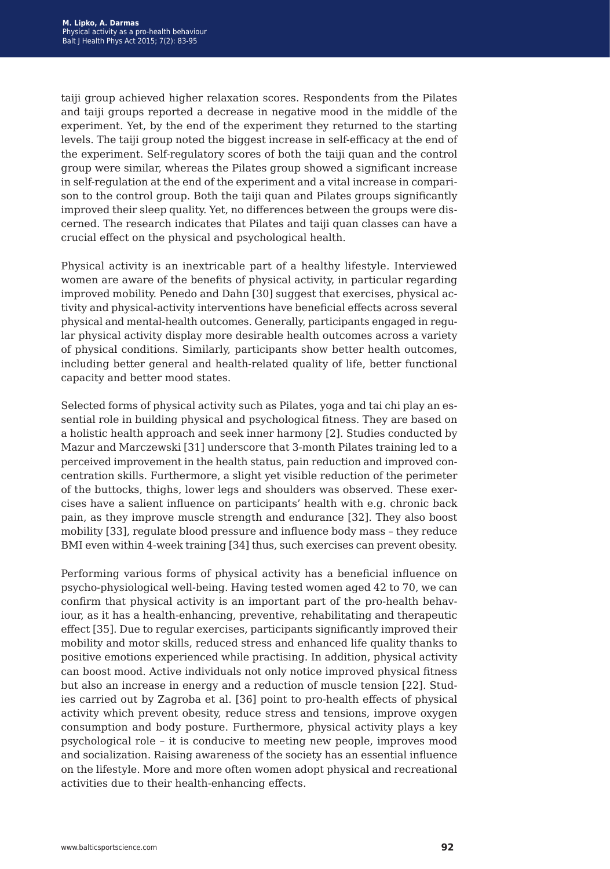taiji group achieved higher relaxation scores. Respondents from the Pilates and taiji groups reported a decrease in negative mood in the middle of the experiment. Yet, by the end of the experiment they returned to the starting levels. The taiji group noted the biggest increase in self-efficacy at the end of the experiment. Self-regulatory scores of both the taiji quan and the control group were similar, whereas the Pilates group showed a significant increase in self-regulation at the end of the experiment and a vital increase in comparison to the control group. Both the taiji quan and Pilates groups significantly improved their sleep quality. Yet, no differences between the groups were discerned. The research indicates that Pilates and taiji quan classes can have a crucial effect on the physical and psychological health.

Physical activity is an inextricable part of a healthy lifestyle. Interviewed women are aware of the benefits of physical activity, in particular regarding improved mobility. Penedo and Dahn [30] suggest that exercises, physical activity and physical-activity interventions have beneficial effects across several physical and mental-health outcomes. Generally, participants engaged in regular physical activity display more desirable health outcomes across a variety of physical conditions. Similarly, participants show better health outcomes, including better general and health-related quality of life, better functional capacity and better mood states.

Selected forms of physical activity such as Pilates, yoga and tai chi play an essential role in building physical and psychological fitness. They are based on a holistic health approach and seek inner harmony [2]. Studies conducted by Mazur and Marczewski [31] underscore that 3-month Pilates training led to a perceived improvement in the health status, pain reduction and improved concentration skills. Furthermore, a slight yet visible reduction of the perimeter of the buttocks, thighs, lower legs and shoulders was observed. These exercises have a salient influence on participants' health with e.g. chronic back pain, as they improve muscle strength and endurance [32]. They also boost mobility [33], regulate blood pressure and influence body mass – they reduce BMI even within 4-week training [34] thus, such exercises can prevent obesity.

Performing various forms of physical activity has a beneficial influence on psycho-physiological well-being. Having tested women aged 42 to 70, we can confirm that physical activity is an important part of the pro-health behaviour, as it has a health-enhancing, preventive, rehabilitating and therapeutic effect [35]. Due to regular exercises, participants significantly improved their mobility and motor skills, reduced stress and enhanced life quality thanks to positive emotions experienced while practising. In addition, physical activity can boost mood. Active individuals not only notice improved physical fitness but also an increase in energy and a reduction of muscle tension [22]. Studies carried out by Zagroba et al. [36] point to pro-health effects of physical activity which prevent obesity, reduce stress and tensions, improve oxygen consumption and body posture. Furthermore, physical activity plays a key psychological role – it is conducive to meeting new people, improves mood and socialization. Raising awareness of the society has an essential influence on the lifestyle. More and more often women adopt physical and recreational activities due to their health-enhancing effects.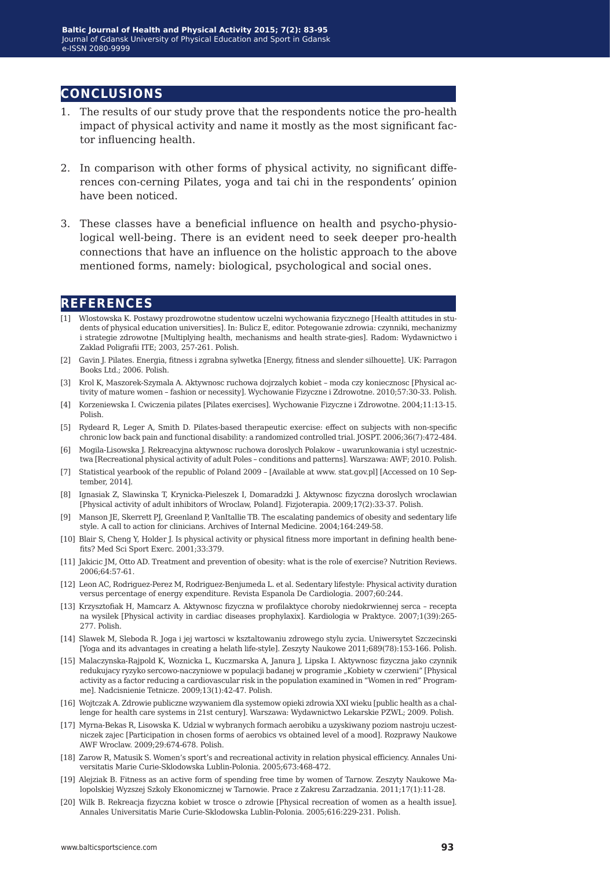## **conclusions**

- 1. The results of our study prove that the respondents notice the pro-health impact of physical activity and name it mostly as the most significant factor influencing health.
- 2. In comparison with other forms of physical activity, no significant differences con-cerning Pilates, yoga and tai chi in the respondents' opinion have been noticed.
- 3. These classes have a beneficial influence on health and psycho-physiological well-being. There is an evident need to seek deeper pro-health connections that have an influence on the holistic approach to the above mentioned forms, namely: biological, psychological and social ones.

## **references**

- [1] Wlostowska K. Postawy prozdrowotne studentow uczelni wychowania fizycznego [Health attitudes in students of physical education universities]. In: Bulicz E, editor. Potegowanie zdrowia: czynniki, mechanizmy i strategie zdrowotne [Multiplying health, mechanisms and health strate-gies]. Radom: Wydawnictwo i Zaklad Poligrafii ITE; 2003, 257-261. Polish.
- [2] Gavin J. Pilates. Energia, fitness i zgrabna sylwetka [Energy, fitness and slender silhouette]. UK: Parragon Books Ltd.; 2006. Polish.
- [3] Krol K, Maszorek-Szymala A. Aktywnosc ruchowa dojrzalych kobiet moda czy koniecznosc [Physical activity of mature women – fashion or necessity]. Wychowanie Fizyczne i Zdrowotne. 2010;57:30-33. Polish.
- [4] Korzeniewska I. Cwiczenia pilates [Pilates exercises]. Wychowanie Fizyczne i Zdrowotne. 2004;11:13-15. Polish.
- [5] Rydeard R, Leger A, Smith D. Pilates-based therapeutic exercise: effect on subjects with non-specific chronic low back pain and functional disability: a randomized controlled trial. JOSPT. 2006;36(7):472-484.
- [6] Mogila-Lisowska J. Rekreacyjna aktywnosc ruchowa doroslych Polakow uwarunkowania i styl uczestnictwa [Recreational physical activity of adult Poles – conditions and patterns]. Warszawa: AWF; 2010. Polish.
- [7] Statistical yearbook of the republic of Poland 2009 [Available at www. stat.gov.pl] [Accessed on 10 September, 2014].
- [8] Ignasiak Z, Slawinska T, Krynicka-Pieleszek I, Domaradzki J. Aktywnosc fizyczna doroslych wroclawian [Physical activity of adult inhibitors of Wroclaw, Poland]. Fizjoterapia. 2009;17(2):33-37. Polish.
- [9] Manson JE, Skerrett PJ, Greenland P, VanItallie TB. The escalating pandemics of obesity and sedentary life style. A call to action for clinicians. Archives of Internal Medicine. 2004;164:249-58.
- [10] Blair S, Cheng Y, Holder J. Is physical activity or physical fitness more important in defining health benefits? Med Sci Sport Exerc. 2001;33:379.
- [11] Jakicic JM, Otto AD. Treatment and prevention of obesity: what is the role of exercise? Nutrition Reviews. 2006;64:57-61.
- [12] Leon AC, Rodriguez-Perez M, Rodriguez-Benjumeda L. et al. Sedentary lifestyle: Physical activity duration versus percentage of energy expenditure. Revista Espanola De Cardiologia. 2007;60:244.
- [13] Krzysztofiak H, Mamcarz A. Aktywnosc fizyczna w profilaktyce choroby niedokrwiennej serca recepta na wysilek [Physical activity in cardiac diseases prophylaxix]. Kardiologia w Praktyce. 2007;1(39):265- 277. Polish.
- [14] Slawek M, Sleboda R. Joga i jej wartosci w ksztaltowaniu zdrowego stylu zycia. Uniwersytet Szczecinski [Yoga and its advantages in creating a helath life-style]. Zeszyty Naukowe 2011;689(78):153-166. Polish.
- [15] Malaczynska-Rajpold K, Woznicka L, Kuczmarska A, Janura J, Lipska I. Aktywnosc fizyczna jako czynnik redukujacy ryzyko sercowo-naczyniowe w populacji badanej w programie "Kobiety w czerwieni" [Physical activity as a factor reducing a cardiovascular risk in the population examined in "Women in red" Programme]. Nadcisnienie Tetnicze. 2009;13(1):42-47. Polish.
- [16] Wojtczak A. Zdrowie publiczne wzywaniem dla systemow opieki zdrowia XXI wieku [public health as a challenge for health care systems in 21st century]. Warszawa: Wydawnictwo Lekarskie PZWL; 2009. Polish.
- [17] Myrna-Bekas R, Lisowska K. Udzial w wybranych formach aerobiku a uzyskiwany poziom nastroju uczestniczek zajec [Participation in chosen forms of aerobics vs obtained level of a mood]. Rozprawy Naukowe AWF Wroclaw. 2009;29:674-678. Polish.
- [18] Zarow R, Matusik S. Women's sport's and recreational activity in relation physical efficiency. Annales Universitatis Marie Curie-Sklodowska Lublin-Polonia. 2005;673:468-472.
- [19] Alejziak B. Fitness as an active form of spending free time by women of Tarnow. Zeszyty Naukowe Malopolskiej Wyzszej Szkoly Ekonomicznej w Tarnowie. Prace z Zakresu Zarzadzania. 2011;17(1):11-28.
- [20] Wilk B. Rekreacja fizyczna kobiet w trosce o zdrowie [Physical recreation of women as a health issue]. Annales Universitatis Marie Curie-Sklodowska Lublin-Polonia. 2005;616:229-231. Polish.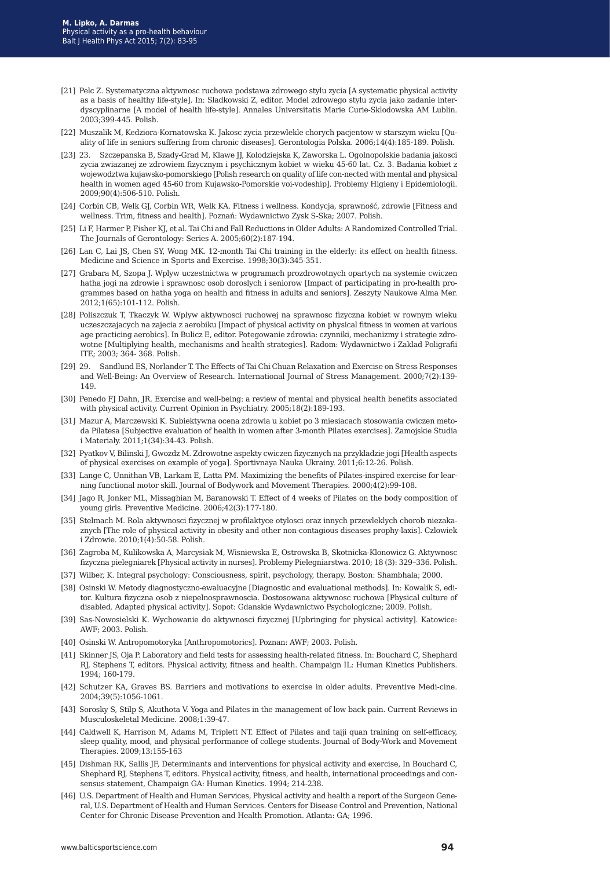- [21] Pelc Z. Systematyczna aktywnosc ruchowa podstawa zdrowego stylu zycia [A systematic physical activity as a basis of healthy life-style]. In: Sladkowski Z, editor. Model zdrowego stylu zycia jako zadanie interdyscyplinarne [A model of health life-style]. Annales Universitatis Marie Curie-Sklodowska AM Lublin. 2003;399-445. Polish.
- [22] Muszalik M, Kedziora-Kornatowska K. Jakosc zycia przewlekle chorych pacjentow w starszym wieku [Quality of life in seniors suffering from chronic diseases]. Gerontologia Polska. 2006;14(4):185-189. Polish.
- [23] 23. Szczepanska B, Szady-Grad M, Klawe JJ, Kolodziejska K, Zaworska L. Ogolnopolskie badania jakosci zycia zwiazanej ze zdrowiem fizycznym i psychicznym kobiet w wieku 45-60 lat. Cz. 3. Badania kobiet z wojewodztwa kujawsko-pomorskiego [Polish research on quality of life con-nected with mental and physical health in women aged 45-60 from Kujawsko-Pomorskie voi-vodeship]. Problemy Higieny i Epidemiologii. 2009;90(4):506-510. Polish.
- [24] Corbin CB, Welk GJ, Corbin WR, Welk KA. Fitness i wellness. Kondycja, sprawność, zdrowie [Fitness and wellness. Trim, fitness and health]. Poznań: Wydawnictwo Zysk S-Ska; 2007. Polish.
- [25] Li F, Harmer P, Fisher KJ, et al. Tai Chi and Fall Reductions in Older Adults: A Randomized Controlled Trial. The Journals of Gerontology: Series A. 2005;60(2):187-194.
- [26] Lan C, Lai JS, Chen SY, Wong MK. 12-month Tai Chi training in the elderly: its effect on health fitness. Medicine and Science in Sports and Exercise. 1998;30(3):345-351.
- [27] Grabara M, Szopa J. Wplyw uczestnictwa w programach prozdrowotnych opartych na systemie cwiczen hatha jogi na zdrowie i sprawnosc osob doroslych i seniorow [Impact of participating in pro-health programmes based on hatha yoga on health and fitness in adults and seniors]. Zeszyty Naukowe Alma Mer. 2012;1(65):101-112. Polish.
- [28] Poliszczuk T, Tkaczyk W. Wplyw aktywnosci ruchowej na sprawnosc fizyczna kobiet w rownym wieku uczeszczajacych na zajecia z aerobiku [Impact of physical activity on physical fitness in women at various age practicing aerobics]. In Bulicz E, editor. Potegowanie zdrowia: czynniki, mechanizmy i strategie zdrowotne [Multiplying health, mechanisms and health strategies]. Radom: Wydawnictwo i Zaklad Poligrafii ITE; 2003; 364- 368. Polish.
- [29] 29. Sandlund ES, Norlander T. The Effects of Tai Chi Chuan Relaxation and Exercise on Stress Responses and Well-Being: An Overview of Research. International Journal of Stress Management. 2000;7(2):139- 149.
- [30] Penedo FJ Dahn, JR. Exercise and well-being: a review of mental and physical health benefits associated with physical activity. Current Opinion in Psychiatry. 2005;18(2):189-193.
- [31] Mazur A, Marczewski K. Subiektywna ocena zdrowia u kobiet po 3 miesiacach stosowania cwiczen metoda Pilatesa [Subjective evaluation of health in women after 3-month Pilates exercises]. Zamojskie Studia i Materialy. 2011;1(34):34-43. Polish.
- [32] Pyatkov V, Bilinski J, Gwozdz M. Zdrowotne aspekty cwiczen fizycznych na przykladzie jogi [Health aspects of physical exercises on example of yoga]. Sportivnaya Nauka Ukrainy. 2011;6:12-26. Polish.
- [33] Lange C, Unnithan VB, Larkam E, Latta PM. Maximizing the benefits of Pilates-inspired exercise for learning functional motor skill. Journal of Bodywork and Movement Therapies. 2000;4(2):99-108.
- [34] Jago R, Jonker ML, Missaghian M, Baranowski T. Effect of 4 weeks of Pilates on the body composition of young girls. Preventive Medicine. 2006;42(3):177-180.
- [35] Stelmach M. Rola aktywnosci fizycznej w profilaktyce otylosci oraz innych przewleklych chorob niezakaznych [The role of physical activity in obesity and other non-contagious diseases prophy-laxis]. Czlowiek i Zdrowie. 2010;1(4):50-58. Polish.
- [36] Zagroba M, Kulikowska A, Marcysiak M, Wisniewska E, Ostrowska B, Skotnicka-Klonowicz G. Aktywnosc fizyczna pielegniarek [Physical activity in nurses]. Problemy Pielegniarstwa. 2010; 18 (3): 329–336. Polish.
- [37] Wilber, K. Integral psychology: Consciousness, spirit, psychology, therapy. Boston: Shambhala; 2000.
- [38] Osinski W. Metody diagnostyczno-ewaluacyjne [Diagnostic and evaluational methods]. In: Kowalik S, editor. Kultura fizyczna osob z niepelnosprawnoscia. Dostosowana aktywnosc ruchowa [Physical culture of disabled. Adapted physical activity]. Sopot: Gdanskie Wydawnictwo Psychologiczne; 2009. Polish.
- [39] Sas-Nowosielski K. Wychowanie do aktywnosci fizycznej [Upbringing for physical activity]. Katowice: AWF; 2003. Polish.
- [40] Osinski W. Antropomotoryka [Anthropomotorics]. Poznan: AWF; 2003. Polish.
- [41] Skinner JS, Oja P. Laboratory and field tests for assessing health-related fitness. In: Bouchard C, Shephard RJ, Stephens T, editors. Physical activity, fitness and health. Champaign IL: Human Kinetics Publishers. 1994; 160-179.
- [42] Schutzer KA, Graves BS. Barriers and motivations to exercise in older adults. Preventive Medi-cine. 2004;39(5):1056-1061.
- [43] Sorosky S, Stilp S, Akuthota V. Yoga and Pilates in the management of low back pain. Current Reviews in Musculoskeletal Medicine. 2008;1:39-47.
- [44] Caldwell K, Harrison M, Adams M, Triplett NT. Effect of Pilates and taiji quan training on self-efficacy, sleep quality, mood, and physical performance of college students. Journal of Body-Work and Movement Therapies. 2009;13:155-163
- [45] Dishman RK, Sallis JF, Determinants and interventions for physical activity and exercise, In Bouchard C, Shephard RJ, Stephens T, editors. Physical activity, fitness, and health, international proceedings and consensus statement, Champaign GA: Human Kinetics. 1994; 214-238.
- [46] U.S. Department of Health and Human Services, Physical activity and health a report of the Surgeon General, U.S. Department of Health and Human Services. Centers for Disease Control and Prevention, National Center for Chronic Disease Prevention and Health Promotion. Atlanta: GA; 1996.